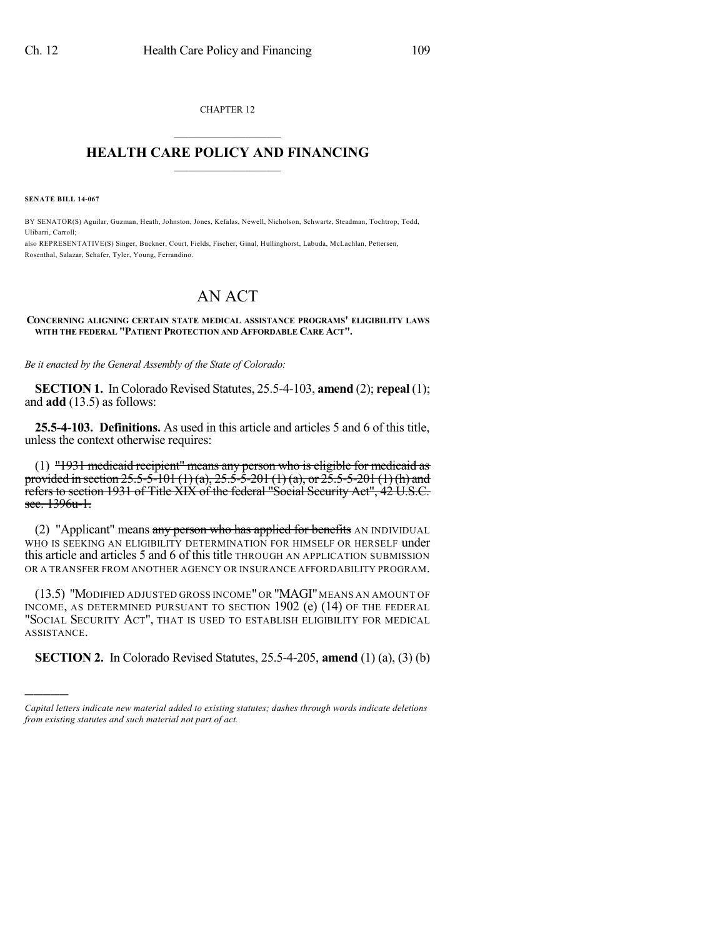CHAPTER 12  $\overline{\phantom{a}}$  . The set of the set of the set of the set of the set of the set of the set of the set of the set of the set of the set of the set of the set of the set of the set of the set of the set of the set of the set o

### **HEALTH CARE POLICY AND FINANCING**  $\_$   $\_$   $\_$   $\_$   $\_$   $\_$   $\_$   $\_$

**SENATE BILL 14-067**

)))))

BY SENATOR(S) Aguilar, Guzman, Heath, Johnston, Jones, Kefalas, Newell, Nicholson, Schwartz, Steadman, Tochtrop, Todd, Ulibarri, Carroll;

also REPRESENTATIVE(S) Singer, Buckner, Court, Fields, Fischer, Ginal, Hullinghorst, Labuda, McLachlan, Pettersen, Rosenthal, Salazar, Schafer, Tyler, Young, Ferrandino.

# AN ACT

#### **CONCERNING ALIGNING CERTAIN STATE MEDICAL ASSISTANCE PROGRAMS' ELIGIBILITY LAWS WITH THE FEDERAL "PATIENT PROTECTION AND AFFORDABLE CARE ACT".**

*Be it enacted by the General Assembly of the State of Colorado:*

**SECTION 1.** In Colorado Revised Statutes, 25.5-4-103, **amend** (2); **repeal** (1); and **add** (13.5) as follows:

**25.5-4-103. Definitions.** As used in this article and articles 5 and 6 of this title, unless the context otherwise requires:

(1) "1931 medicaid recipient" means any person who is eligible for medicaid as provided in section 25.5-5-101 (1) (a),  $25.5-5-201$  (1) (a), or  $25.5-5-201$  (1) (h) and refers to section 1931 of Title XIX of the federal "Social Security Act", 42 U.S.C. sec. 1396u-1.

(2) "Applicant" means any person who has applied for benefits AN INDIVIDUAL WHO IS SEEKING AN ELIGIBILITY DETERMINATION FOR HIMSELF OR HERSELF under this article and articles 5 and 6 of this title THROUGH AN APPLICATION SUBMISSION OR A TRANSFER FROM ANOTHER AGENCY OR INSURANCE AFFORDABILITY PROGRAM.

(13.5) "MODIFIED ADJUSTED GROSS INCOME" OR "MAGI" MEANS AN AMOUNT OF INCOME, AS DETERMINED PURSUANT TO SECTION 1902 (e) (14) OF THE FEDERAL "SOCIAL SECURITY ACT", THAT IS USED TO ESTABLISH ELIGIBILITY FOR MEDICAL ASSISTANCE.

**SECTION 2.** In Colorado Revised Statutes, 25.5-4-205, **amend** (1) (a), (3) (b)

*Capital letters indicate new material added to existing statutes; dashes through words indicate deletions from existing statutes and such material not part of act.*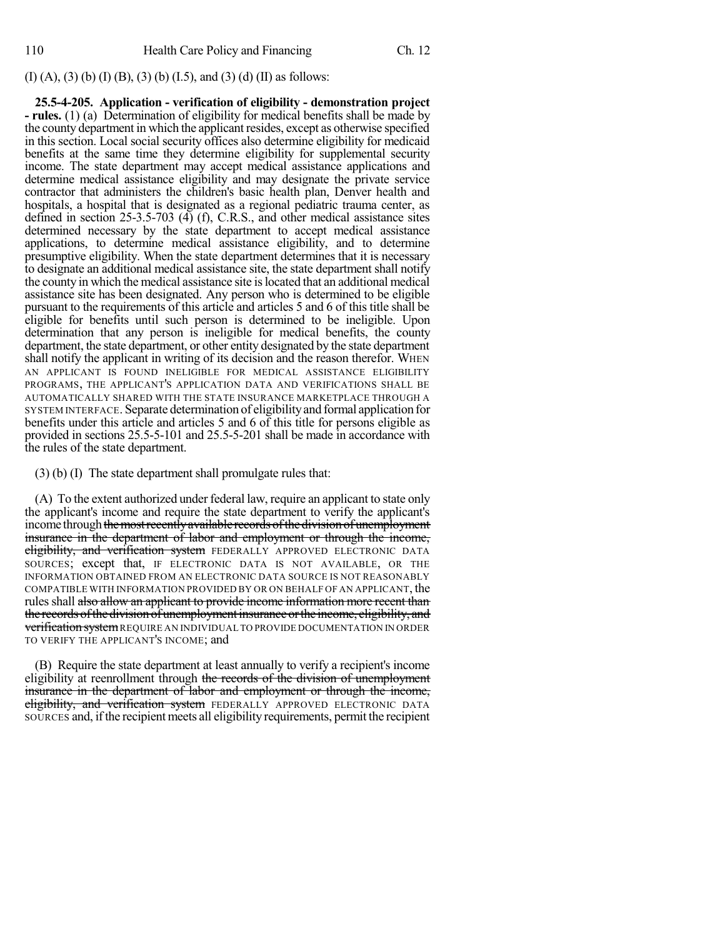## (I) (A), (3) (b) (I) (B), (3) (b) (I.5), and (3) (d) (II) as follows:

**25.5-4-205. Application - verification of eligibility - demonstration project - rules.** (1) (a) Determination of eligibility for medical benefits shall be made by the county department in which the applicant resides, except as otherwise specified in this section. Local social security offices also determine eligibility for medicaid benefits at the same time they determine eligibility for supplemental security income. The state department may accept medical assistance applications and determine medical assistance eligibility and may designate the private service contractor that administers the children's basic health plan, Denver health and hospitals, a hospital that is designated as a regional pediatric trauma center, as defined in section 25-3.5-703  $(\overline{4})$  (f), C.R.S., and other medical assistance sites determined necessary by the state department to accept medical assistance applications, to determine medical assistance eligibility, and to determine presumptive eligibility. When the state department determines that it is necessary to designate an additional medical assistance site, the state department shall notify the county in which the medical assistance site islocated that an additional medical assistance site has been designated. Any person who is determined to be eligible pursuant to the requirements of this article and articles 5 and 6 of this title shall be eligible for benefits until such person is determined to be ineligible. Upon determination that any person is ineligible for medical benefits, the county department, the state department, or other entity designated by the state department shall notify the applicant in writing of its decision and the reason therefor. WHEN AN APPLICANT IS FOUND INELIGIBLE FOR MEDICAL ASSISTANCE ELIGIBILITY PROGRAMS, THE APPLICANT'S APPLICATION DATA AND VERIFICATIONS SHALL BE AUTOMATICALLY SHARED WITH THE STATE INSURANCE MARKETPLACE THROUGH A SYSTEM INTERFACE. Separate determination of eligibilityand formal application for benefits under this article and articles 5 and 6 of this title for persons eligible as provided in sections 25.5-5-101 and 25.5-5-201 shall be made in accordance with the rules of the state department.

(3) (b) (I) The state department shall promulgate rules that:

(A) To the extent authorized under federal law, require an applicant to state only the applicant's income and require the state department to verify the applicant's income through the most recently available records of the division of unemployment insurance in the department of labor and employment or through the income, eligibility, and verification system FEDERALLY APPROVED ELECTRONIC DATA SOURCES; except that, IF ELECTRONIC DATA IS NOT AVAILABLE, OR THE INFORMATION OBTAINED FROM AN ELECTRONIC DATA SOURCE IS NOT REASONABLY COMPATIBLE WITH INFORMATION PROVIDED BY OR ON BEHALF OF AN APPLICANT, the rules shall also allow an applicant to provide income information more recent than the records of the division of unemployment insurance or the income, eligibility, and verification system REQUIRE AN INDIVIDUAL TO PROVIDE DOCUMENTATION IN ORDER TO VERIFY THE APPLICANT'S INCOME; and

(B) Require the state department at least annually to verify a recipient's income eligibility at reenrollment through the records of the division of unemployment insurance in the department of labor and employment or through the income, eligibility, and verification system FEDERALLY APPROVED ELECTRONIC DATA SOURCES and, ifthe recipient meets all eligibility requirements, permit the recipient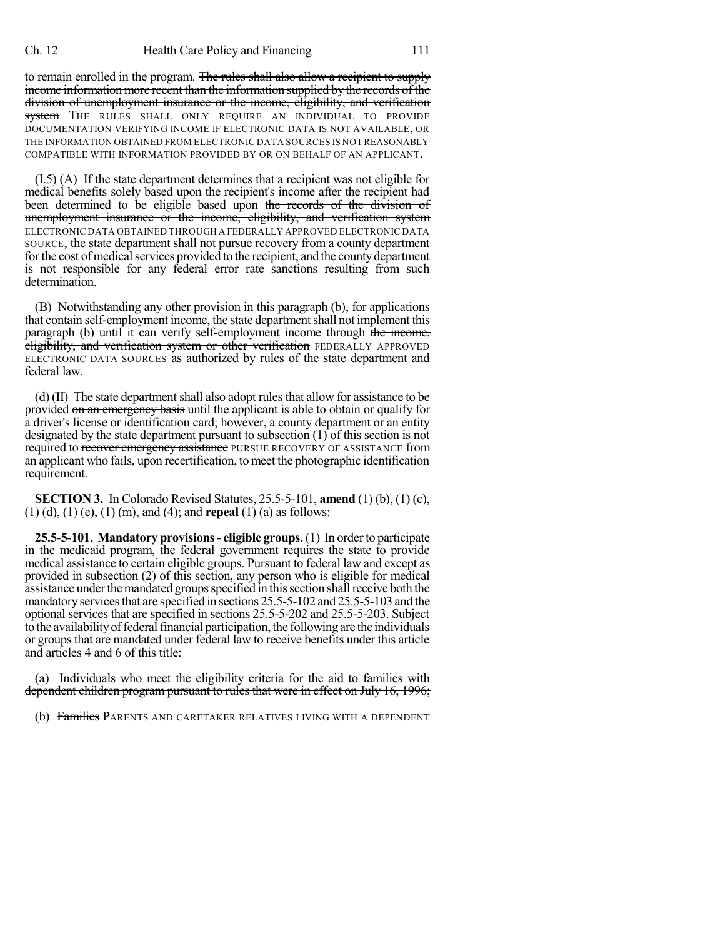to remain enrolled in the program. The rules shall also allow a recipient to supply income information more recent than the information supplied by the records of the division of unemployment insurance or the income, eligibility, and verification system THE RULES SHALL ONLY REQUIRE AN INDIVIDUAL TO PROVIDE DOCUMENTATION VERIFYING INCOME IF ELECTRONIC DATA IS NOT AVAILABLE, OR THE INFORMATION OBTAINED FROM ELECTRONIC DATA SOURCES IS NOT REASONABLY COMPATIBLE WITH INFORMATION PROVIDED BY OR ON BEHALF OF AN APPLICANT.

(I.5) (A) If the state department determines that a recipient was not eligible for medical benefits solely based upon the recipient's income after the recipient had been determined to be eligible based upon the records of the division of unemployment insurance or the income, eligibility, and verification system ELECTRONIC DATA OBTAINED THROUGH A FEDERALLY APPROVED ELECTRONIC DATA SOURCE, the state department shall not pursue recovery from a county department for the cost of medical services provided to the recipient, and the county department is not responsible for any federal error rate sanctions resulting from such determination.

(B) Notwithstanding any other provision in this paragraph (b), for applications that contain self-employment income, the state department shall not implement this paragraph (b) until it can verify self-employment income through the income, eligibility, and verification system or other verification FEDERALLY APPROVED ELECTRONIC DATA SOURCES as authorized by rules of the state department and federal law.

(d)  $(II)$  The state department shall also adopt rules that allow for assistance to be provided on an emergency basis until the applicant is able to obtain or qualify for a driver's license or identification card; however, a county department or an entity designated by the state department pursuant to subsection (1) of this section is not required to recover emergency assistance PURSUE RECOVERY OF ASSISTANCE from an applicant who fails, upon recertification, tomeet the photographic identification requirement.

**SECTION 3.** In Colorado Revised Statutes, 25.5-5-101, **amend** (1) (b), (1) (c), (1) (d), (1) (e), (1) (m), and (4); and **repeal** (1) (a) as follows:

**25.5-5-101. Mandatory provisions- eligible groups.**(1) In orderto participate in the medicaid program, the federal government requires the state to provide medical assistance to certain eligible groups. Pursuant to federal law and except as provided in subsection (2) of this section, any person who is eligible for medical assistance under the mandated groups specified in this section shall receive both the mandatory services that are specified in sections 25.5-5-102 and 25.5-5-103 and the optional services that are specified in sections 25.5-5-202 and 25.5-5-203. Subject to the availabilityoffederalfinancial participation, the following are the individuals or groupsthat are mandated under federal law to receive benefits under this article and articles 4 and 6 of this title:

(a) Individuals who meet the eligibility criteria for the aid to families with dependent children program pursuant to rules that were in effect on July 16, 1996;

(b) Families PARENTS AND CARETAKER RELATIVES LIVING WITH A DEPENDENT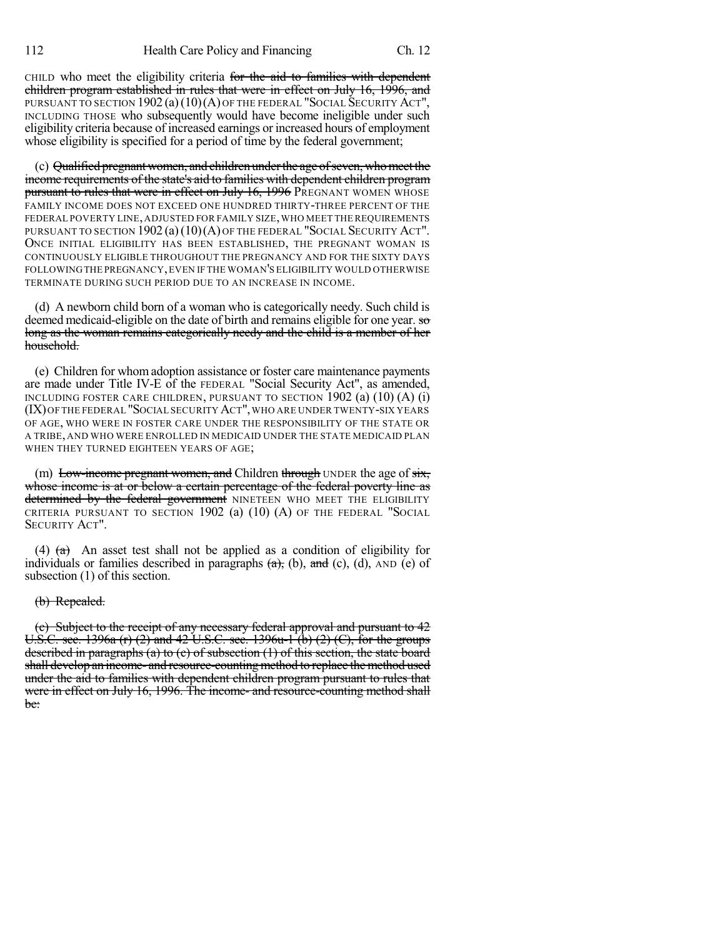CHILD who meet the eligibility criteria for the aid to families with dependent children program established in rules that were in effect on July 16, 1996, and PURSUANT TO SECTION 1902 (a) (10) (A) OF THE FEDERAL "SOCIAL SECURITY ACT", INCLUDING THOSE who subsequently would have become ineligible under such eligibility criteria because of increased earnings or increased hours of employment whose eligibility is specified for a period of time by the federal government;

(c) Qualified pregnantwomen, and children underthe age ofseven, whomeet the income requirements of the state's aid to families with dependent children program pursuant to rules that were in effect on July 16, 1996 PREGNANT WOMEN WHOSE FAMILY INCOME DOES NOT EXCEED ONE HUNDRED THIRTY-THREE PERCENT OF THE FEDERAL POVERTY LINE,ADJUSTED FOR FAMILY SIZE,WHO MEET THE REQUIREMENTS PURSUANT TO SECTION 1902 (a)(10)(A) OF THE FEDERAL "SOCIAL SECURITY ACT". ONCE INITIAL ELIGIBILITY HAS BEEN ESTABLISHED, THE PREGNANT WOMAN IS CONTINUOUSLY ELIGIBLE THROUGHOUT THE PREGNANCY AND FOR THE SIXTY DAYS FOLLOWINGTHE PREGNANCY,EVEN IF THE WOMAN'S ELIGIBILITY WOULD OTHERWISE TERMINATE DURING SUCH PERIOD DUE TO AN INCREASE IN INCOME.

(d) A newborn child born of a woman who is categorically needy. Such child is deemed medicaid-eligible on the date of birth and remains eligible for one year. so long as the woman remains categorically needy and the child is a member of her household.

(e) Children for whom adoption assistance or foster care maintenance payments are made under Title IV-E of the FEDERAL "Social Security Act", as amended, INCLUDING FOSTER CARE CHILDREN, PURSUANT TO SECTION 1902 (a) (10) (A) (i) (IX)OFTHE FEDERAL "SOCIAL SECURITY ACT",WHO ARE UNDER TWENTY-SIX YEARS OF AGE, WHO WERE IN FOSTER CARE UNDER THE RESPONSIBILITY OF THE STATE OR A TRIBE, AND WHO WERE ENROLLED IN MEDICAID UNDER THE STATE MEDICAID PLAN WHEN THEY TURNED EIGHTEEN YEARS OF AGE;

(m) Low-income pregnant women, and Children through UNDER the age of  $s$ ix, whose income is at or below a certain percentage of the federal poverty line as determined by the federal government NINETEEN WHO MEET THE ELIGIBILITY CRITERIA PURSUANT TO SECTION  $1902$  (a)  $(10)$  (A) OF THE FEDERAL "SOCIAL SECURITY ACT".

(4)  $(a)$  An asset test shall not be applied as a condition of eligibility for individuals or families described in paragraphs  $(a)$ ,  $(b)$ ,  $and$   $(c)$ ,  $(d)$ ,  $AND$   $(e)$  of subsection (1) of this section.

#### (b) Repealed.

(c) Subject to the receipt of any necessary federal approval and pursuant to 42 U.S.C. sec. 1396a (r) (2) and 42 U.S.C. sec. 1396u-1 (b) (2) (C), for the groups described in paragraphs (a) to (c) of subsection (1) of this section, the state board shall develop an income- and resource-countingmethod to replace the method used under the aid to families with dependent children program pursuant to rules that were in effect on July 16, 1996. The income- and resource-counting method shall be: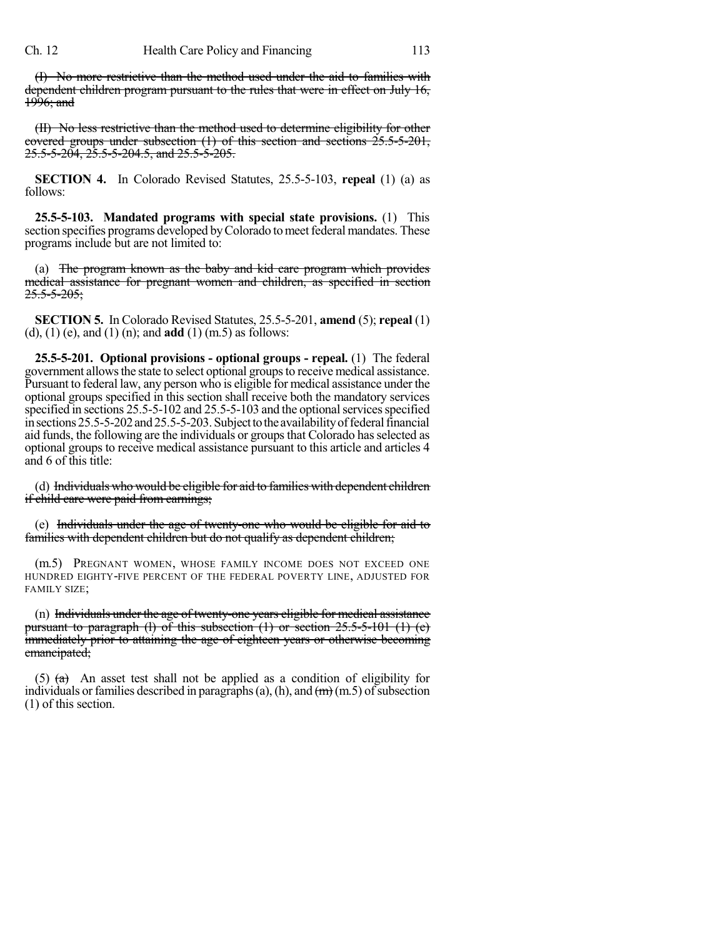(I) No more restrictive than the method used under the aid to families with dependent children program pursuant to the rules that were in effect on July 16, 1996; and

(II) No less restrictive than the method used to determine eligibility for other covered groups under subsection (1) of this section and sections 25.5-5-201, 25.5-5-204, 25.5-5-204.5, and 25.5-5-205.

**SECTION 4.** In Colorado Revised Statutes, 25.5-5-103, **repeal** (1) (a) as follows:

**25.5-5-103. Mandated programs with special state provisions.** (1) This section specifies programs developed by Colorado to meet federal mandates. These programs include but are not limited to:

(a) The program known as the baby and kid care program which provides medical assistance for pregnant women and children, as specified in section  $25.5 - 5 - 205$ ;

**SECTION 5.** In Colorado Revised Statutes, 25.5-5-201, **amend** (5); **repeal** (1) (d), (1) (e), and (1) (n); and **add** (1) (m.5) as follows:

**25.5-5-201. Optional provisions - optional groups - repeal.** (1) The federal government allows the state to select optional groups to receive medical assistance. Pursuant to federal law, any person who is eligible for medical assistance under the optional groups specified in this section shall receive both the mandatory services specified in sections 25.5-5-102 and 25.5-5-103 and the optional services specified in sections 25.5-5-202 and 25.5-5-203. Subject to the availability of federal financial aid funds, the following are the individuals or groups that Colorado has selected as optional groups to receive medical assistance pursuant to this article and articles 4 and 6 of this title:

(d) Individuals who would be eligible for aid to families with dependent children if child care were paid from earnings;

(e) Individuals under the age of twenty-one who would be eligible for aid to families with dependent children but do not qualify as dependent children;

(m.5) PREGNANT WOMEN, WHOSE FAMILY INCOME DOES NOT EXCEED ONE HUNDRED EIGHTY-FIVE PERCENT OF THE FEDERAL POVERTY LINE, ADJUSTED FOR FAMILY SIZE;

(n) Individuals under the age of twenty-one years eligible for medical assistance pursuant to paragraph (1) of this subsection  $(1)$  or section  $25.5-5-101$   $(1)$   $(e)$ immediately prior to attaining the age of eighteen years or otherwise becoming emancipated;

(5)  $(a)$  An asset test shall not be applied as a condition of eligibility for individuals or families described in paragraphs (a), (h), and  $(m)$  (m.5) of subsection (1) of this section.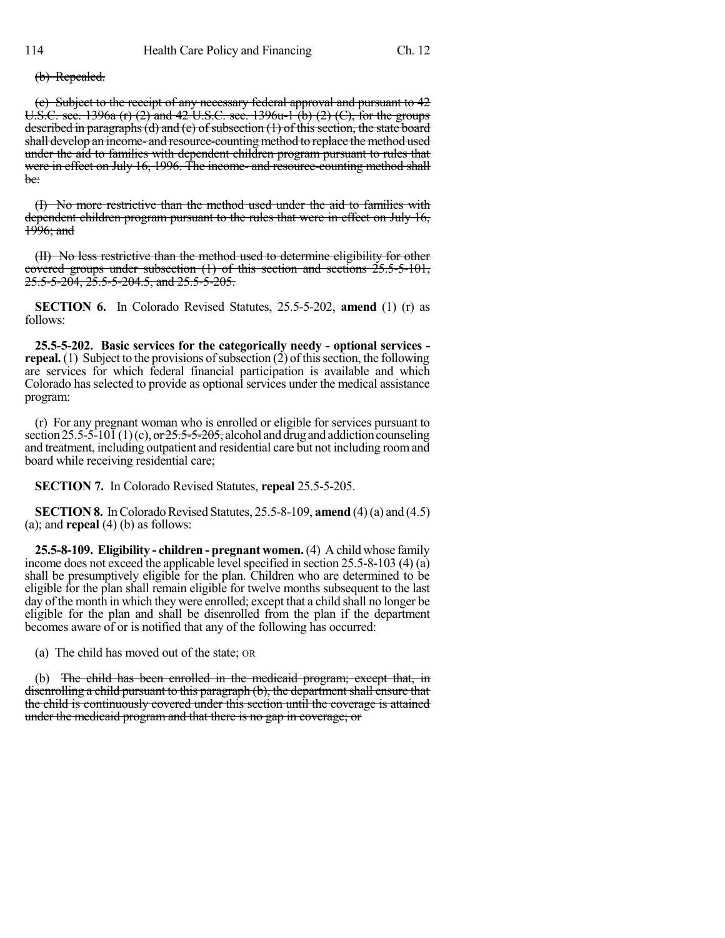(b) Repealed.

(c) Subject to the receipt of any necessary federal approval and pursuant to 42 U.S.C. sec. 1396a (r) (2) and 42 U.S.C. sec. 1396u-1 (b) (2) (C), for the groups described in paragraphs (d) and (e) of subsection  $(1)$  of this section, the state board shall develop an income- and resource-counting method to replace the method used under the aid to families with dependent children program pursuant to rules that were in effect on July 16, 1996. The income- and resource-counting method shall be:

(I) No more restrictive than the method used under the aid to families with dependent children program pursuant to the rules that were in effect on July 16,  $1996$ ; and

(II) No less restrictive than the method used to determine eligibility for other covered groups under subsection (1) of this section and sections 25.5-5-101, 25.5-5-204, 25.5-5-204.5, and 25.5-5-205.

**SECTION 6.** In Colorado Revised Statutes, 25.5-5-202, **amend** (1) (r) as follows:

**25.5-5-202. Basic services for the categorically needy - optional services repeal.** (1) Subject to the provisions of subsection  $(2)$  of this section, the following are services for which federal financial participation is available and which Colorado has selected to provide as optional services under the medical assistance program:

(r) For any pregnant woman who is enrolled or eligible for services pursuant to section 25.5-5-10 $\overline{1}(1)(c)$ , or  $25.5-5-205$ , alcohol and drug and addiction counseling and treatment, including outpatient and residential care but not including roomand board while receiving residential care;

**SECTION 7.** In Colorado Revised Statutes, **repeal** 25.5-5-205.

**SECTION 8.** In Colorado Revised Statutes,  $25.5 - 8 - 109$ , **amend** (4)(a) and (4.5) (a); and **repeal** (4) (b) as follows:

**25.5-8-109. Eligibility - children - pregnant women.**(4) A child whose family income does not exceed the applicable level specified in section  $25.5-8-103$  (4) (a) shall be presumptively eligible for the plan. Children who are determined to be eligible for the plan shall remain eligible for twelve months subsequent to the last day of the month in which they were enrolled; except that a child shall no longer be eligible for the plan and shall be disenrolled from the plan if the department becomes aware of or is notified that any of the following has occurred:

(a) The child has moved out of the state; OR

(b) The child has been enrolled in the medicaid program; except that, in disenrolling a child pursuant to this paragraph (b), the department shall ensure that the child is continuously covered under this section until the coverage is attained under the medicaid program and that there is no gap in coverage; or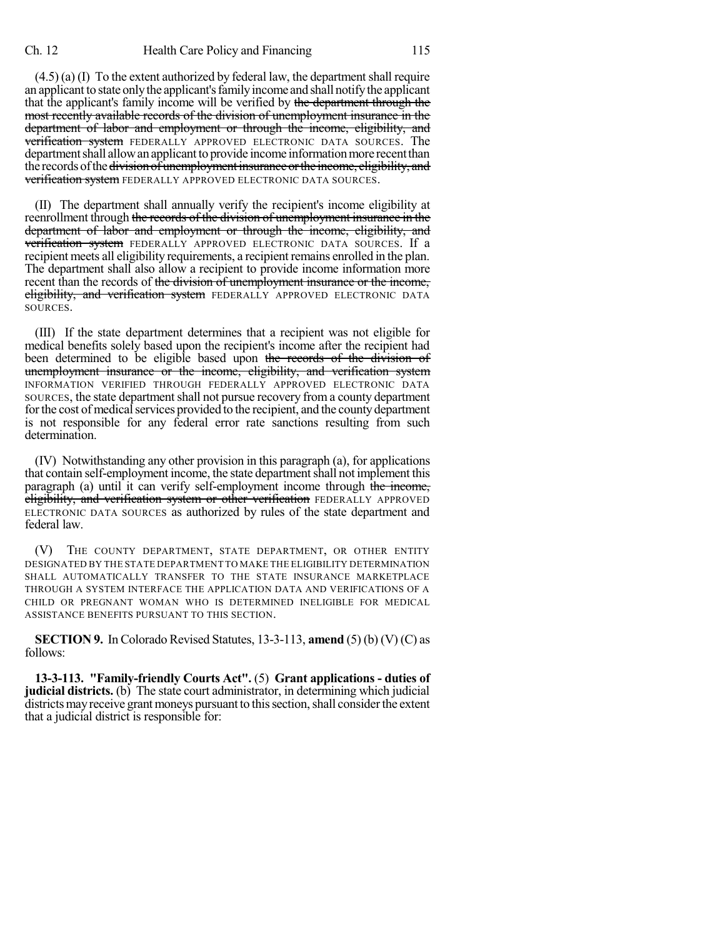$(4.5)$  (a) (I) To the extent authorized by federal law, the department shall require an applicant to state onlythe applicant'sfamilyincome and shall notifythe applicant that the applicant's family income will be verified by the department through the most recently available records of the division of unemployment insurance in the department of labor and employment or through the income, eligibility, and verification system FEDERALLY APPROVED ELECTRONIC DATA SOURCES. The department shall allow an applicant to provide income information more recent than the records of the <del>division of unemployment insurance or the income, eligibility, and</del> **verification system** FEDERALLY APPROVED ELECTRONIC DATA SOURCES.

(II) The department shall annually verify the recipient's income eligibility at reenrollment through the records of the division of unemployment insurance in the department of labor and employment or through the income, eligibility, and verification system FEDERALLY APPROVED ELECTRONIC DATA SOURCES. If a recipient meets all eligibility requirements, a recipient remains enrolled in the plan. The department shall also allow a recipient to provide income information more recent than the records of the division of unemployment insurance or the income, eligibility, and verification system FEDERALLY APPROVED ELECTRONIC DATA SOURCES.

(III) If the state department determines that a recipient was not eligible for medical benefits solely based upon the recipient's income after the recipient had been determined to be eligible based upon the records of the division of unemployment insurance or the income, eligibility, and verification system INFORMATION VERIFIED THROUGH FEDERALLY APPROVED ELECTRONIC DATA SOURCES, the state department shall not pursue recovery from a county department for the cost of medical services provided to the recipient, and the county department is not responsible for any federal error rate sanctions resulting from such determination.

(IV) Notwithstanding any other provision in this paragraph (a), for applications that contain self-employment income, the state department shall not implement this paragraph (a) until it can verify self-employment income through the income, eligibility, and verification system or other verification FEDERALLY APPROVED ELECTRONIC DATA SOURCES as authorized by rules of the state department and federal law.

(V) THE COUNTY DEPARTMENT, STATE DEPARTMENT, OR OTHER ENTITY DESIGNATED BY THE STATE DEPARTMENT TO MAKE THE ELIGIBILITY DETERMINATION SHALL AUTOMATICALLY TRANSFER TO THE STATE INSURANCE MARKETPLACE THROUGH A SYSTEM INTERFACE THE APPLICATION DATA AND VERIFICATIONS OF A CHILD OR PREGNANT WOMAN WHO IS DETERMINED INELIGIBLE FOR MEDICAL ASSISTANCE BENEFITS PURSUANT TO THIS SECTION.

**SECTION 9.** In Colorado Revised Statutes, 13-3-113, **amend** (5) (b) (V) (C) as follows:

**13-3-113. "Family-friendly Courts Act".** (5) **Grant applications - duties of judicial districts.** (b) The state court administrator, in determining which judicial districts may receive grant moneys pursuant to this section, shall consider the extent that a judicial district is responsible for: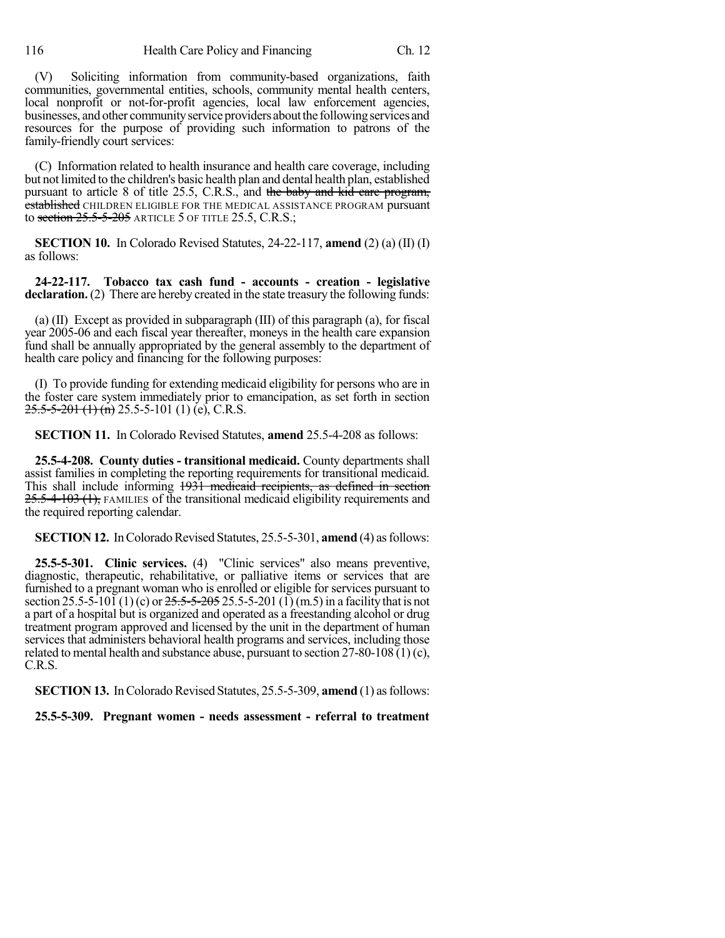(V) Soliciting information from community-based organizations, faith communities, governmental entities, schools, community mental health centers, local nonprofit or not-for-profit agencies, local law enforcement agencies, businesses, and other community service providers about the following services and resources for the purpose of providing such information to patrons of the family-friendly court services:

(C) Information related to health insurance and health care coverage, including but not limited to the children's basic health plan and dental health plan, established pursuant to article 8 of title 25.5, C.R.S., and the baby and kid care program, established CHILDREN ELIGIBLE FOR THE MEDICAL ASSISTANCE PROGRAM pursuant to section  $25.5-5-205$  article 5 of title 25.5, C.R.S.;

**SECTION 10.** In Colorado Revised Statutes, 24-22-117, **amend** (2) (a) (II) (I) as follows:

**24-22-117. Tobacco tax cash fund - accounts - creation - legislative declaration.** (2) There are hereby created in the state treasury the following funds:

(a) (II) Except as provided in subparagraph (III) of this paragraph (a), for fiscal year 2005-06 and each fiscal year thereafter, moneys in the health care expansion fund shall be annually appropriated by the general assembly to the department of health care policy and financing for the following purposes:

(I) To provide funding for extending medicaid eligibility for persons who are in the foster care system immediately prior to emancipation, as set forth in section  $25.5 - 5 - 201$  (1) (n) 25.5-5-101 (1) (e), C.R.S.

**SECTION 11.** In Colorado Revised Statutes, **amend** 25.5-4-208 as follows:

**25.5-4-208. County duties - transitional medicaid.** County departments shall assist families in completing the reporting requirements for transitional medicaid. This shall include informing 1931 medicaid recipients, as defined in section 25.5-4-103 (1), FAMILIES of the transitional medicaid eligibility requirements and the required reporting calendar.

**SECTION 12.** In Colorado Revised Statutes, 25.5-5-301, **amend** (4) as follows:

**25.5-5-301. Clinic services.** (4) "Clinic services" also means preventive, diagnostic, therapeutic, rehabilitative, or palliative items or services that are furnished to a pregnant woman who is enrolled or eligible for services pursuant to section 25.5-5-101 (1)(c) or  $25.5-5-205$  25.5-5-201 (1)(m.5) in a facility that is not a part of a hospital but is organized and operated as a freestanding alcohol or drug treatment program approved and licensed by the unit in the department of human services that administers behavioral health programs and services, including those related to mental health and substance abuse, pursuant to section 27-80-108 (1) (c), C.R.S.

**SECTION 13.** In Colorado Revised Statutes, 25.5-5-309, **amend** (1) as follows:

**25.5-5-309. Pregnant women - needs assessment - referral to treatment**